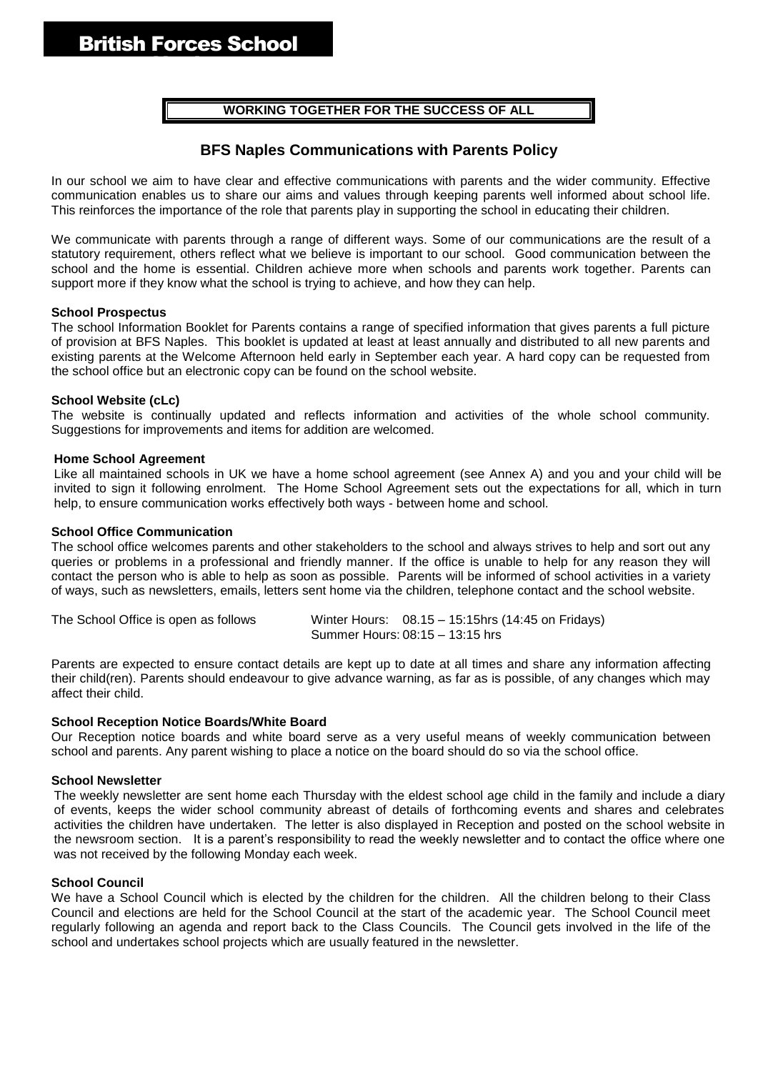## **WORKING TOGETHER FOR THE SUCCESS OF ALL**

## **BFS Naples Communications with Parents Policy**

In our school we aim to have clear and effective communications with parents and the wider community. Effective communication enables us to share our aims and values through keeping parents well informed about school life. This reinforces the importance of the role that parents play in supporting the school in educating their children.

We communicate with parents through a range of different ways. Some of our communications are the result of a statutory requirement, others reflect what we believe is important to our school. Good communication between the school and the home is essential. Children achieve more when schools and parents work together. Parents can support more if they know what the school is trying to achieve, and how they can help.

#### **School Prospectus**

The school Information Booklet for Parents contains a range of specified information that gives parents a full picture of provision at BFS Naples. This booklet is updated at least at least annually and distributed to all new parents and existing parents at the Welcome Afternoon held early in September each year. A hard copy can be requested from the school office but an electronic copy can be found on the school website.

#### **School Website (cLc)**

The website is continually updated and reflects information and activities of the whole school community. Suggestions for improvements and items for addition are welcomed.

#### **Home School Agreement**

Like all maintained schools in UK we have a home school agreement (see Annex A) and you and your child will be invited to sign it following enrolment. The Home School Agreement sets out the expectations for all, which in turn help, to ensure communication works effectively both ways - between home and school.

#### **School Office Communication**

The school office welcomes parents and other stakeholders to the school and always strives to help and sort out any queries or problems in a professional and friendly manner. If the office is unable to help for any reason they will contact the person who is able to help as soon as possible. Parents will be informed of school activities in a variety of ways, such as newsletters, emails, letters sent home via the children, telephone contact and the school website.

| The School Office is open as follows | Winter Hours: 08.15 - 15:15hrs (14:45 on Fridays) |
|--------------------------------------|---------------------------------------------------|
|                                      | Summer Hours: 08:15 - 13:15 hrs                   |

Parents are expected to ensure contact details are kept up to date at all times and share any information affecting their child(ren). Parents should endeavour to give advance warning, as far as is possible, of any changes which may affect their child.

## **School Reception Notice Boards/White Board**

Our Reception notice boards and white board serve as a very useful means of weekly communication between school and parents. Any parent wishing to place a notice on the board should do so via the school office.

## **School Newsletter**

The weekly newsletter are sent home each Thursday with the eldest school age child in the family and include a diary of events, keeps the wider school community abreast of details of forthcoming events and shares and celebrates activities the children have undertaken. The letter is also displayed in Reception and posted on the school website in the newsroom section. It is a parent's responsibility to read the weekly newsletter and to contact the office where one was not received by the following Monday each week.

## **School Council**

We have a School Council which is elected by the children for the children. All the children belong to their Class Council and elections are held for the School Council at the start of the academic year. The School Council meet regularly following an agenda and report back to the Class Councils. The Council gets involved in the life of the school and undertakes school projects which are usually featured in the newsletter.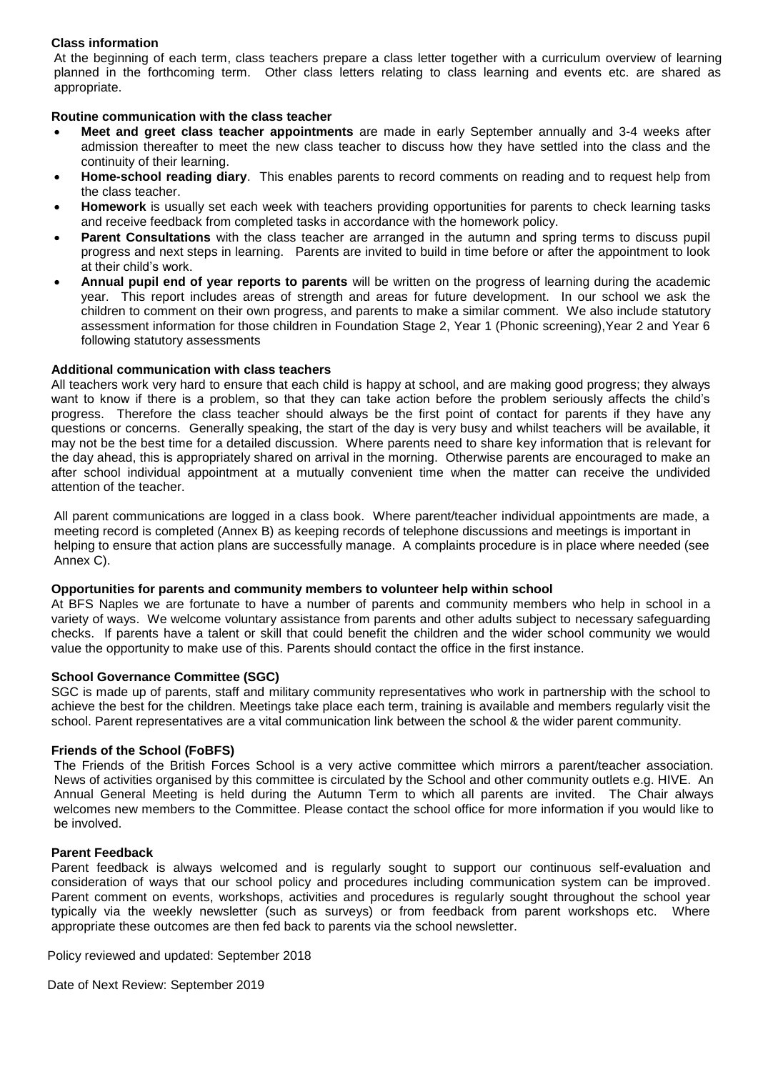## **Class information**

At the beginning of each term, class teachers prepare a class letter together with a curriculum overview of learning planned in the forthcoming term. Other class letters relating to class learning and events etc. are shared as appropriate.

## **Routine communication with the class teacher**

- **Meet and greet class teacher appointments** are made in early September annually and 3-4 weeks after admission thereafter to meet the new class teacher to discuss how they have settled into the class and the continuity of their learning.
- **Home-school reading diary**. This enables parents to record comments on reading and to request help from the class teacher.
- **Homework** is usually set each week with teachers providing opportunities for parents to check learning tasks and receive feedback from completed tasks in accordance with the homework policy.
- **Parent Consultations** with the class teacher are arranged in the autumn and spring terms to discuss pupil progress and next steps in learning. Parents are invited to build in time before or after the appointment to look at their child's work.
- **Annual pupil end of year reports to parents** will be written on the progress of learning during the academic year. This report includes areas of strength and areas for future development. In our school we ask the children to comment on their own progress, and parents to make a similar comment. We also include statutory assessment information for those children in Foundation Stage 2, Year 1 (Phonic screening),Year 2 and Year 6 following statutory assessments

## **Additional communication with class teachers**

All teachers work very hard to ensure that each child is happy at school, and are making good progress; they always want to know if there is a problem, so that they can take action before the problem seriously affects the child's progress. Therefore the class teacher should always be the first point of contact for parents if they have any questions or concerns. Generally speaking, the start of the day is very busy and whilst teachers will be available, it may not be the best time for a detailed discussion. Where parents need to share key information that is relevant for the day ahead, this is appropriately shared on arrival in the morning. Otherwise parents are encouraged to make an after school individual appointment at a mutually convenient time when the matter can receive the undivided attention of the teacher.

All parent communications are logged in a class book. Where parent/teacher individual appointments are made, a meeting record is completed (Annex B) as keeping records of telephone discussions and meetings is important in helping to ensure that action plans are successfully manage. A complaints procedure is in place where needed (see Annex C).

## **Opportunities for parents and community members to volunteer help within school**

At BFS Naples we are fortunate to have a number of parents and community members who help in school in a variety of ways. We welcome voluntary assistance from parents and other adults subject to necessary safeguarding checks. If parents have a talent or skill that could benefit the children and the wider school community we would value the opportunity to make use of this. Parents should contact the office in the first instance.

## **School Governance Committee (SGC)**

SGC is made up of parents, staff and military community representatives who work in partnership with the school to achieve the best for the children. Meetings take place each term, training is available and members regularly visit the school. Parent representatives are a vital communication link between the school & the wider parent community.

## **Friends of the School (FoBFS)**

The Friends of the British Forces School is a very active committee which mirrors a parent/teacher association. News of activities organised by this committee is circulated by the School and other community outlets e.g. HIVE. An Annual General Meeting is held during the Autumn Term to which all parents are invited. The Chair always welcomes new members to the Committee. Please contact the school office for more information if you would like to be involved.

## **Parent Feedback**

Parent feedback is always welcomed and is regularly sought to support our continuous self-evaluation and consideration of ways that our school policy and procedures including communication system can be improved. Parent comment on events, workshops, activities and procedures is regularly sought throughout the school year typically via the weekly newsletter (such as surveys) or from feedback from parent workshops etc. Where appropriate these outcomes are then fed back to parents via the school newsletter.

Policy reviewed and updated: September 2018

Date of Next Review: September 2019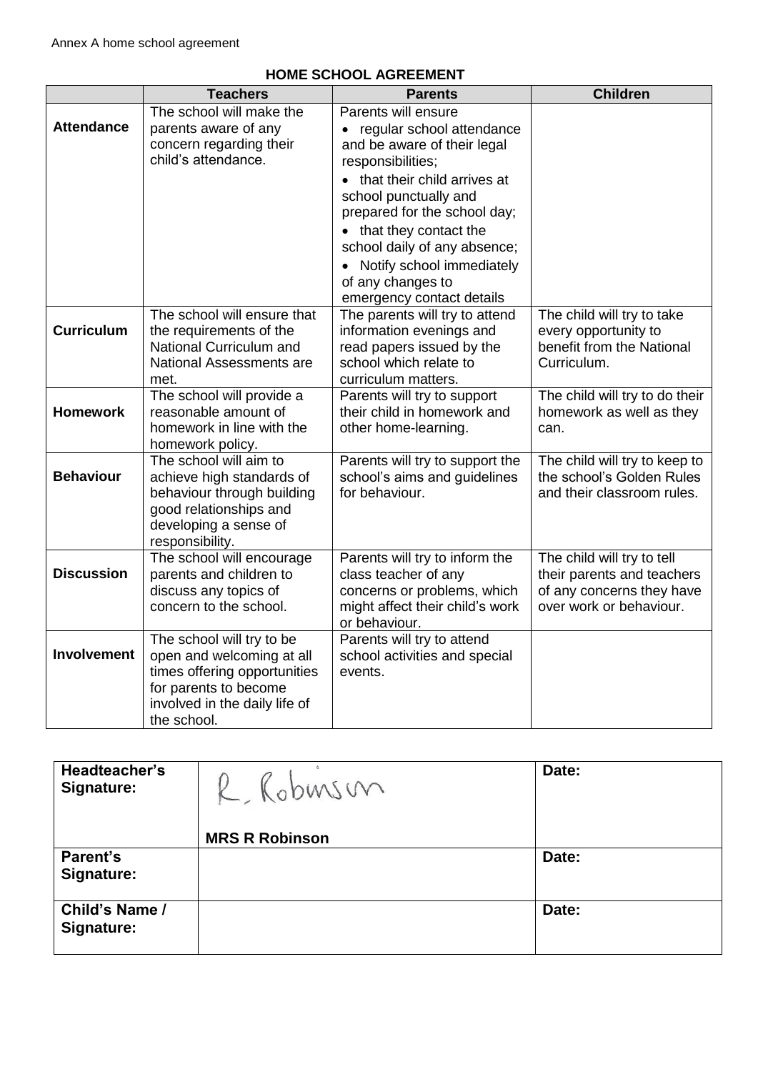|                    | <b>Teachers</b>                                                                                                                                                 | <b>Parents</b>                                                                                                                                                                                                                                                                                                                                                     | <b>Children</b>                                                                                                  |
|--------------------|-----------------------------------------------------------------------------------------------------------------------------------------------------------------|--------------------------------------------------------------------------------------------------------------------------------------------------------------------------------------------------------------------------------------------------------------------------------------------------------------------------------------------------------------------|------------------------------------------------------------------------------------------------------------------|
| <b>Attendance</b>  | The school will make the<br>parents aware of any<br>concern regarding their<br>child's attendance.                                                              | Parents will ensure<br>regular school attendance<br>$\bullet$<br>and be aware of their legal<br>responsibilities;<br>• that their child arrives at<br>school punctually and<br>prepared for the school day;<br>• that they contact the<br>school daily of any absence;<br>Notify school immediately<br>$\bullet$<br>of any changes to<br>emergency contact details |                                                                                                                  |
| <b>Curriculum</b>  | The school will ensure that<br>the requirements of the<br>National Curriculum and<br>National Assessments are<br>met.                                           | The parents will try to attend<br>information evenings and<br>read papers issued by the<br>school which relate to<br>curriculum matters.                                                                                                                                                                                                                           | The child will try to take<br>every opportunity to<br>benefit from the National<br>Curriculum.                   |
| <b>Homework</b>    | The school will provide a<br>reasonable amount of<br>homework in line with the<br>homework policy.                                                              | Parents will try to support<br>their child in homework and<br>other home-learning.                                                                                                                                                                                                                                                                                 | The child will try to do their<br>homework as well as they<br>can.                                               |
| <b>Behaviour</b>   | The school will aim to<br>achieve high standards of<br>behaviour through building<br>good relationships and<br>developing a sense of<br>responsibility.         | Parents will try to support the<br>school's aims and guidelines<br>for behaviour.                                                                                                                                                                                                                                                                                  | The child will try to keep to<br>the school's Golden Rules<br>and their classroom rules.                         |
| <b>Discussion</b>  | The school will encourage<br>parents and children to<br>discuss any topics of<br>concern to the school.                                                         | Parents will try to inform the<br>class teacher of any<br>concerns or problems, which<br>might affect their child's work<br>or behaviour.                                                                                                                                                                                                                          | The child will try to tell<br>their parents and teachers<br>of any concerns they have<br>over work or behaviour. |
| <b>Involvement</b> | The school will try to be<br>open and welcoming at all<br>times offering opportunities<br>for parents to become<br>involved in the daily life of<br>the school. | Parents will try to attend<br>school activities and special<br>events.                                                                                                                                                                                                                                                                                             |                                                                                                                  |

# **HOME SCHOOL AGREEMENT**

| Headteacher's<br><b>Signature:</b> | R. Robuson            | Date: |
|------------------------------------|-----------------------|-------|
|                                    | <b>MRS R Robinson</b> |       |
| Parent's                           |                       | Date: |
| Signature:                         |                       |       |
| Child's Name /                     |                       | Date: |
| Signature:                         |                       |       |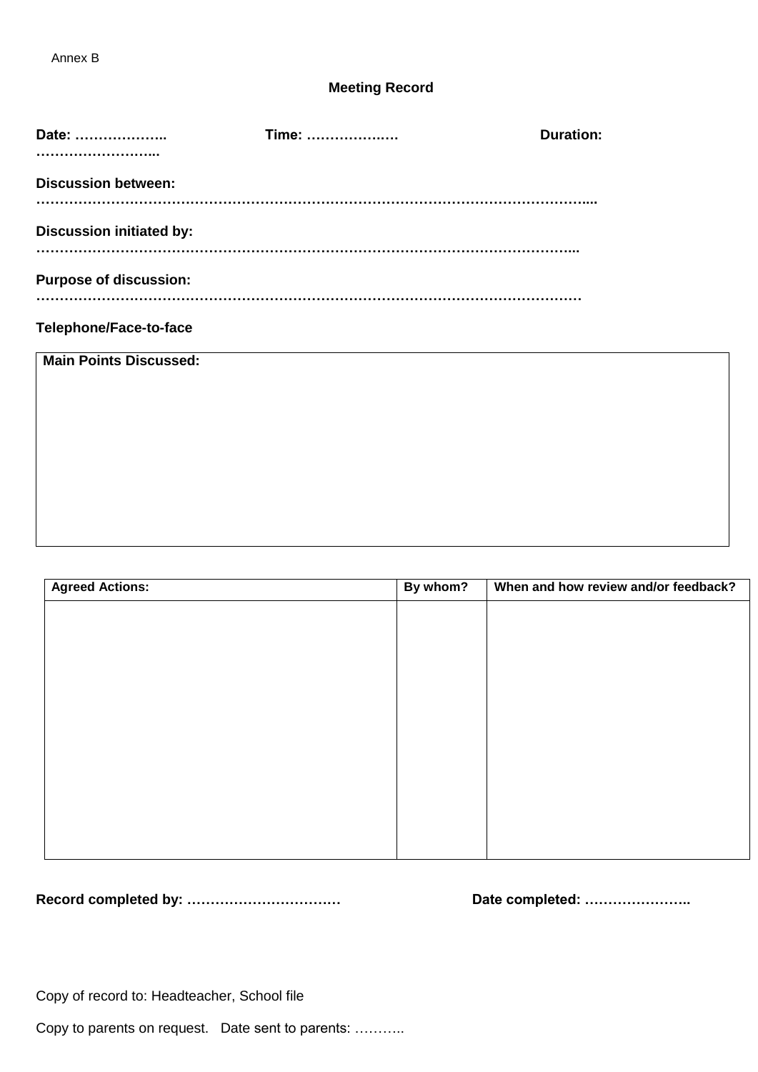# **Meeting Record**

| Date:                           | Time: | <b>Duration:</b> |
|---------------------------------|-------|------------------|
|                                 |       |                  |
| <b>Discussion between:</b>      |       |                  |
|                                 |       |                  |
| <b>Discussion initiated by:</b> |       |                  |
|                                 |       |                  |
| <b>Purpose of discussion:</b>   |       |                  |
|                                 |       |                  |
| Telephone/Face-to-face          |       |                  |
| <b>Main Points Discussed:</b>   |       |                  |
|                                 |       |                  |
|                                 |       |                  |
|                                 |       |                  |
|                                 |       |                  |
|                                 |       |                  |

| <b>Agreed Actions:</b> | By whom? | When and how review and/or feedback? |
|------------------------|----------|--------------------------------------|
|                        |          |                                      |
|                        |          |                                      |
|                        |          |                                      |
|                        |          |                                      |
|                        |          |                                      |
|                        |          |                                      |
|                        |          |                                      |
|                        |          |                                      |
|                        |          |                                      |
|                        |          |                                      |
|                        |          |                                      |

**Record completed by: …………………………… Date completed: …………………..**

Copy of record to: Headteacher, School file

Copy to parents on request. Date sent to parents: ………..